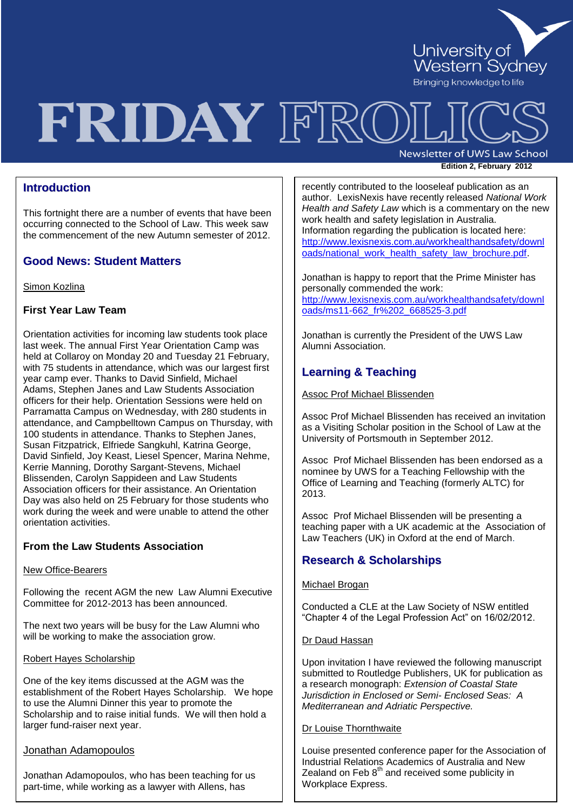

# FRIDAY FRC

**Newsletter of UWS Law School Edition 2, February 2012** 

# **Introduction**

This fortnight there are a number of events that have been occurring connected to the School of Law. This week saw the commencement of the new Autumn semester of 2012.

## **Good News: Student Matters**

Simon Kozlina

## **First Year Law Team**

Orientation activities for incoming law students took place last week. The annual First Year Orientation Camp was held at Collaroy on Monday 20 and Tuesday 21 February, with 75 students in attendance, which was our largest first year camp ever. Thanks to David Sinfield, Michael Adams, Stephen Janes and Law Students Association officers for their help. Orientation Sessions were held on Parramatta Campus on Wednesday, with 280 students in attendance, and Campbelltown Campus on Thursday, with 100 students in attendance. Thanks to Stephen Janes, Susan Fitzpatrick, Elfriede Sangkuhl, Katrina George, David Sinfield, Joy Keast, Liesel Spencer, Marina Nehme, Kerrie Manning, Dorothy Sargant-Stevens, Michael Blissenden, Carolyn Sappideen and Law Students Association officers for their assistance. An Orientation Day was also held on 25 February for those students who work during the week and were unable to attend the other orientation activities.

## **From the Law Students Association**

### New Office-Bearers

Following the recent AGM the new Law Alumni Executive Committee for 2012-2013 has been announced.

The next two years will be busy for the Law Alumni who will be working to make the association grow.

### Robert Hayes Scholarship

One of the key items discussed at the AGM was the establishment of the Robert Hayes Scholarship. We hope to use the Alumni Dinner this year to promote the Scholarship and to raise initial funds. We will then hold a larger fund-raiser next year.

## Jonathan Adamopoulos

Jonathan Adamopoulos, who has been teaching for us part-time, while working as a lawyer with Allens, has

work health and safety legislation in Australia. recently contributed to the looseleaf publication as an author. LexisNexis have recently released *National Work Health and Safety Law* which is a commentary on the new Information regarding the publication is located here: [http://www.lexisnexis.com.au/workhealthandsafety/downl](http://www.lexisnexis.com.au/workhealthandsafety/downloads/national_work_health_safety_law_brochure.pdf) [oads/national\\_work\\_health\\_safety\\_law\\_brochure.pdf.](http://www.lexisnexis.com.au/workhealthandsafety/downloads/national_work_health_safety_law_brochure.pdf)

Jonathan is happy to report that the Prime Minister has personally commended the work:

[http://www.lexisnexis.com.au/workhealthandsafety/downl](http://www.lexisnexis.com.au/workhealthandsafety/downloads/ms11-662_fr%202_668525-3.pdf) [oads/ms11-662\\_fr%202\\_668525-3.pdf](http://www.lexisnexis.com.au/workhealthandsafety/downloads/ms11-662_fr%202_668525-3.pdf)

Jonathan is currently the President of the UWS Law Alumni Association.

# **Learning & Teaching**

Assoc Prof Michael Blissenden

Assoc Prof Michael Blissenden has received an invitation as a Visiting Scholar position in the School of Law at the University of Portsmouth in September 2012.

Assoc Prof Michael Blissenden has been endorsed as a nominee by UWS for a Teaching Fellowship with the Office of Learning and Teaching (formerly ALTC) for 2013.

Assoc Prof Michael Blissenden will be presenting a teaching paper with a UK academic at the Association of Law Teachers (UK) in Oxford at the end of March.

## **Research & Scholarships**

## Michael Brogan

Conducted a CLE at the Law Society of NSW entitled "Chapter 4 of the Legal Profession Act" on 16/02/2012.

### Dr Daud Hassan

Upon invitation I have reviewed the following manuscript submitted to Routledge Publishers, UK for publication as a research monograph: *Extension of Coastal State Jurisdiction in Enclosed or Semi- Enclosed Seas: A Mediterranean and Adriatic Perspective.*

## Dr Louise Thornthwaite

Louise presented conference paper for the Association of Industrial Relations Academics of Australia and New Zealand on Feb  $8<sup>th</sup>$  and received some publicity in Workplace Express.